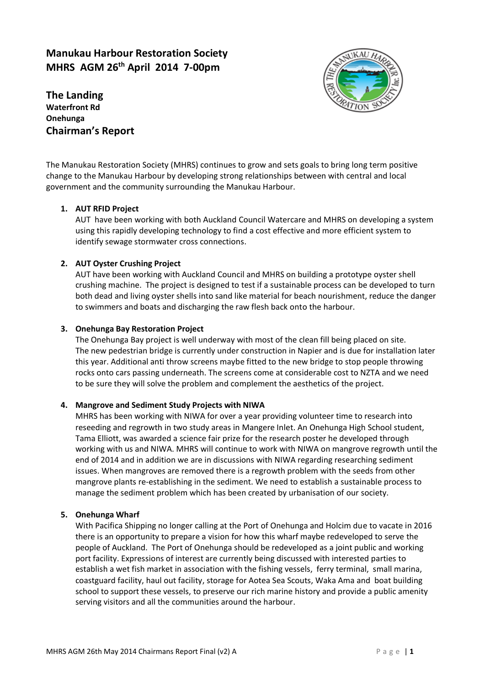# **Manukau Harbour Restoration Society MHRS AGM 26th April 2014 7-00pm**



**The Landing Waterfront Rd Onehunga Chairman's Report**

The Manukau Restoration Society (MHRS) continues to grow and sets goals to bring long term positive change to the Manukau Harbour by developing strong relationships between with central and local government and the community surrounding the Manukau Harbour.

# **1. AUT RFID Project**

AUT have been working with both Auckland Council Watercare and MHRS on developing a system using this rapidly developing technology to find a cost effective and more efficient system to identify sewage stormwater cross connections.

# **2. AUT Oyster Crushing Project**

AUT have been working with Auckland Council and MHRS on building a prototype oyster shell crushing machine. The project is designed to test if a sustainable process can be developed to turn both dead and living oyster shells into sand like material for beach nourishment, reduce the danger to swimmers and boats and discharging the raw flesh back onto the harbour.

# **3. Onehunga Bay Restoration Project**

The Onehunga Bay project is well underway with most of the clean fill being placed on site. The new pedestrian bridge is currently under construction in Napier and is due for installation later this year. Additional anti throw screens maybe fitted to the new bridge to stop people throwing rocks onto cars passing underneath. The screens come at considerable cost to NZTA and we need to be sure they will solve the problem and complement the aesthetics of the project.

### **4. Mangrove and Sediment Study Projects with NIWA**

MHRS has been working with NIWA for over a year providing volunteer time to research into reseeding and regrowth in two study areas in Mangere Inlet. An Onehunga High School student, Tama Elliott, was awarded a science fair prize for the research poster he developed through working with us and NIWA. MHRS will continue to work with NIWA on mangrove regrowth until the end of 2014 and in addition we are in discussions with NIWA regarding researching sediment issues. When mangroves are removed there is a regrowth problem with the seeds from other mangrove plants re-establishing in the sediment. We need to establish a sustainable process to manage the sediment problem which has been created by urbanisation of our society.

### **5. Onehunga Wharf**

With Pacifica Shipping no longer calling at the Port of Onehunga and Holcim due to vacate in 2016 there is an opportunity to prepare a vision for how this wharf maybe redeveloped to serve the people of Auckland. The Port of Onehunga should be redeveloped as a joint public and working port facility. Expressions of interest are currently being discussed with interested parties to establish a wet fish market in association with the fishing vessels, ferry terminal, small marina, coastguard facility, haul out facility, storage for Aotea Sea Scouts, Waka Ama and boat building school to support these vessels, to preserve our rich marine history and provide a public amenity serving visitors and all the communities around the harbour.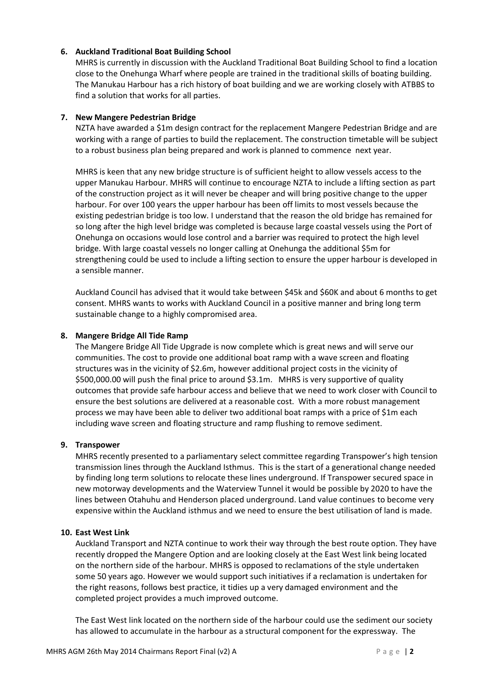# **6. Auckland Traditional Boat Building School**

MHRS is currently in discussion with the Auckland Traditional Boat Building School to find a location close to the Onehunga Wharf where people are trained in the traditional skills of boating building. The Manukau Harbour has a rich history of boat building and we are working closely with ATBBS to find a solution that works for all parties.

## **7. New Mangere Pedestrian Bridge**

NZTA have awarded a \$1m design contract for the replacement Mangere Pedestrian Bridge and are working with a range of parties to build the replacement. The construction timetable will be subject to a robust business plan being prepared and work is planned to commence next year.

MHRS is keen that any new bridge structure is of sufficient height to allow vessels access to the upper Manukau Harbour. MHRS will continue to encourage NZTA to include a lifting section as part of the construction project as it will never be cheaper and will bring positive change to the upper harbour. For over 100 years the upper harbour has been off limits to most vessels because the existing pedestrian bridge is too low. I understand that the reason the old bridge has remained for so long after the high level bridge was completed is because large coastal vessels using the Port of Onehunga on occasions would lose control and a barrier was required to protect the high level bridge. With large coastal vessels no longer calling at Onehunga the additional \$5m for strengthening could be used to include a lifting section to ensure the upper harbour is developed in a sensible manner.

Auckland Council has advised that it would take between \$45k and \$60K and about 6 months to get consent. MHRS wants to works with Auckland Council in a positive manner and bring long term sustainable change to a highly compromised area.

# **8. Mangere Bridge All Tide Ramp**

The Mangere Bridge All Tide Upgrade is now complete which is great news and will serve our communities. The cost to provide one additional boat ramp with a wave screen and floating structures was in the vicinity of \$2.6m, however additional project costs in the vicinity of \$500,000.00 will push the final price to around \$3.1m. MHRS is very supportive of quality outcomes that provide safe harbour access and believe that we need to work closer with Council to ensure the best solutions are delivered at a reasonable cost. With a more robust management process we may have been able to deliver two additional boat ramps with a price of \$1m each including wave screen and floating structure and ramp flushing to remove sediment.

### **9. Transpower**

MHRS recently presented to a parliamentary select committee regarding Transpower's high tension transmission lines through the Auckland Isthmus. This is the start of a generational change needed by finding long term solutions to relocate these lines underground. If Transpower secured space in new motorway developments and the Waterview Tunnel it would be possible by 2020 to have the lines between Otahuhu and Henderson placed underground. Land value continues to become very expensive within the Auckland isthmus and we need to ensure the best utilisation of land is made.

### **10. East West Link**

Auckland Transport and NZTA continue to work their way through the best route option. They have recently dropped the Mangere Option and are looking closely at the East West link being located on the northern side of the harbour. MHRS is opposed to reclamations of the style undertaken some 50 years ago. However we would support such initiatives if a reclamation is undertaken for the right reasons, follows best practice, it tidies up a very damaged environment and the completed project provides a much improved outcome.

The East West link located on the northern side of the harbour could use the sediment our society has allowed to accumulate in the harbour as a structural component for the expressway. The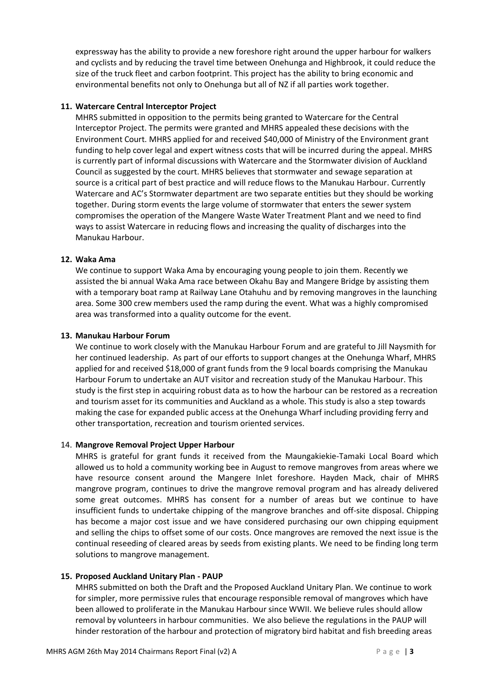expressway has the ability to provide a new foreshore right around the upper harbour for walkers and cyclists and by reducing the travel time between Onehunga and Highbrook, it could reduce the size of the truck fleet and carbon footprint. This project has the ability to bring economic and environmental benefits not only to Onehunga but all of NZ if all parties work together.

# **11. Watercare Central Interceptor Project**

MHRS submitted in opposition to the permits being granted to Watercare for the Central Interceptor Project. The permits were granted and MHRS appealed these decisions with the Environment Court. MHRS applied for and received \$40,000 of Ministry of the Environment grant funding to help cover legal and expert witness costs that will be incurred during the appeal. MHRS is currently part of informal discussions with Watercare and the Stormwater division of Auckland Council as suggested by the court. MHRS believes that stormwater and sewage separation at source is a critical part of best practice and will reduce flows to the Manukau Harbour. Currently Watercare and AC's Stormwater department are two separate entities but they should be working together. During storm events the large volume of stormwater that enters the sewer system compromises the operation of the Mangere Waste Water Treatment Plant and we need to find ways to assist Watercare in reducing flows and increasing the quality of discharges into the Manukau Harbour.

### **12. Waka Ama**

We continue to support Waka Ama by encouraging young people to join them. Recently we assisted the bi annual Waka Ama race between Okahu Bay and Mangere Bridge by assisting them with a temporary boat ramp at Railway Lane Otahuhu and by removing mangroves in the launching area. Some 300 crew members used the ramp during the event. What was a highly compromised area was transformed into a quality outcome for the event.

### **13. Manukau Harbour Forum**

We continue to work closely with the Manukau Harbour Forum and are grateful to Jill Naysmith for her continued leadership. As part of our efforts to support changes at the Onehunga Wharf, MHRS applied for and received \$18,000 of grant funds from the 9 local boards comprising the Manukau Harbour Forum to undertake an AUT visitor and recreation study of the Manukau Harbour. This study is the first step in acquiring robust data as to how the harbour can be restored as a recreation and tourism asset for its communities and Auckland as a whole. This study is also a step towards making the case for expanded public access at the Onehunga Wharf including providing ferry and other transportation, recreation and tourism oriented services.

### 14. **Mangrove Removal Project Upper Harbour**

MHRS is grateful for grant funds it received from the Maungakiekie-Tamaki Local Board which allowed us to hold a community working bee in August to remove mangroves from areas where we have resource consent around the Mangere Inlet foreshore. Hayden Mack, chair of MHRS mangrove program, continues to drive the mangrove removal program and has already delivered some great outcomes. MHRS has consent for a number of areas but we continue to have insufficient funds to undertake chipping of the mangrove branches and off-site disposal. Chipping has become a major cost issue and we have considered purchasing our own chipping equipment and selling the chips to offset some of our costs. Once mangroves are removed the next issue is the continual reseeding of cleared areas by seeds from existing plants. We need to be finding long term solutions to mangrove management.

### **15. Proposed Auckland Unitary Plan - PAUP**

MHRS submitted on both the Draft and the Proposed Auckland Unitary Plan. We continue to work for simpler, more permissive rules that encourage responsible removal of mangroves which have been allowed to proliferate in the Manukau Harbour since WWII. We believe rules should allow removal by volunteers in harbour communities. We also believe the regulations in the PAUP will hinder restoration of the harbour and protection of migratory bird habitat and fish breeding areas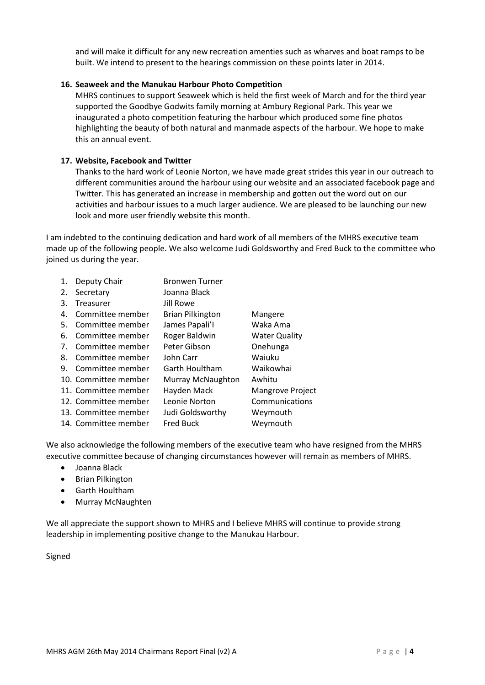and will make it difficult for any new recreation amenties such as wharves and boat ramps to be built. We intend to present to the hearings commission on these points later in 2014.

## **16. Seaweek and the Manukau Harbour Photo Competition**

MHRS continues to support Seaweek which is held the first week of March and for the third year supported the Goodbye Godwits family morning at Ambury Regional Park. This year we inaugurated a photo competition featuring the harbour which produced some fine photos highlighting the beauty of both natural and manmade aspects of the harbour. We hope to make this an annual event.

# **17. Website, Facebook and Twitter**

Thanks to the hard work of Leonie Norton, we have made great strides this year in our outreach to different communities around the harbour using our website and an associated facebook page and Twitter. This has generated an increase in membership and gotten out the word out on our activities and harbour issues to a much larger audience. We are pleased to be launching our new look and more user friendly website this month.

I am indebted to the continuing dedication and hard work of all members of the MHRS executive team made up of the following people. We also welcome Judi Goldsworthy and Fred Buck to the committee who joined us during the year.

| 1. | Deputy Chair         | <b>Bronwen Turner</b>   |                         |
|----|----------------------|-------------------------|-------------------------|
| 2. | Secretary            | Joanna Black            |                         |
| 3. | Treasurer            | Jill Rowe               |                         |
| 4. | Committee member     | <b>Brian Pilkington</b> | Mangere                 |
| 5. | Committee member     | James Papali'l          | Waka Ama                |
| 6. | Committee member     | Roger Baldwin           | <b>Water Quality</b>    |
| 7. | Committee member     | Peter Gibson            | Onehunga                |
| 8. | Committee member     | John Carr               | Waiuku                  |
| 9. | Committee member     | Garth Houltham          | Waikowhai               |
|    | 10. Committee member | Murray McNaughton       | Awhitu                  |
|    | 11. Committee member | Hayden Mack             | <b>Mangrove Project</b> |
|    | 12. Committee member | Leonie Norton           | Communications          |
|    | 13. Committee member | Judi Goldsworthy        | Weymouth                |
|    | 14. Committee member | <b>Fred Buck</b>        | Weymouth                |
|    |                      |                         |                         |

We also acknowledge the following members of the executive team who have resigned from the MHRS executive committee because of changing circumstances however will remain as members of MHRS.

- Joanna Black
- Brian Pilkington
- Garth Houltham
- Murray McNaughten

We all appreciate the support shown to MHRS and I believe MHRS will continue to provide strong leadership in implementing positive change to the Manukau Harbour.

Signed